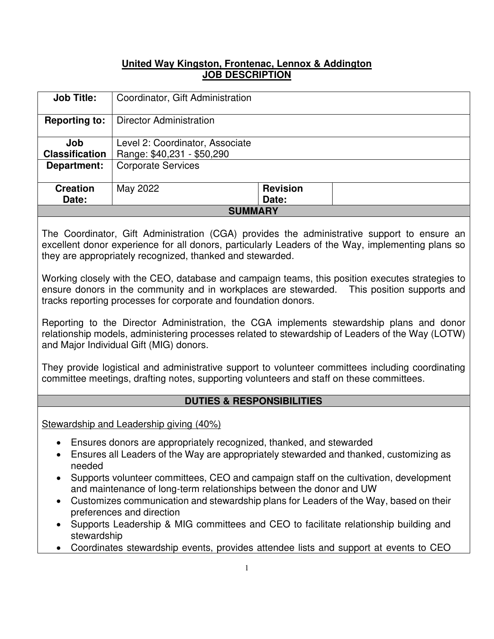### **United Way Kingston, Frontenac, Lennox & Addington JOB DESCRIPTION**

| <b>Job Title:</b>                                                                                                                                                                                                                                                                                                                                                                                                                                                                                                                                                                                                                                                                                                                                                                                                                                                                                                                                                                | Coordinator, Gift Administration |                          |  |
|----------------------------------------------------------------------------------------------------------------------------------------------------------------------------------------------------------------------------------------------------------------------------------------------------------------------------------------------------------------------------------------------------------------------------------------------------------------------------------------------------------------------------------------------------------------------------------------------------------------------------------------------------------------------------------------------------------------------------------------------------------------------------------------------------------------------------------------------------------------------------------------------------------------------------------------------------------------------------------|----------------------------------|--------------------------|--|
| <b>Reporting to:</b>                                                                                                                                                                                                                                                                                                                                                                                                                                                                                                                                                                                                                                                                                                                                                                                                                                                                                                                                                             | <b>Director Administration</b>   |                          |  |
| Job                                                                                                                                                                                                                                                                                                                                                                                                                                                                                                                                                                                                                                                                                                                                                                                                                                                                                                                                                                              | Level 2: Coordinator, Associate  |                          |  |
| <b>Classification</b>                                                                                                                                                                                                                                                                                                                                                                                                                                                                                                                                                                                                                                                                                                                                                                                                                                                                                                                                                            | Range: \$40,231 - \$50,290       |                          |  |
| <b>Department:</b>                                                                                                                                                                                                                                                                                                                                                                                                                                                                                                                                                                                                                                                                                                                                                                                                                                                                                                                                                               | <b>Corporate Services</b>        |                          |  |
| <b>Creation</b><br>Date:                                                                                                                                                                                                                                                                                                                                                                                                                                                                                                                                                                                                                                                                                                                                                                                                                                                                                                                                                         | May 2022                         | <b>Revision</b><br>Date: |  |
| <b>SUMMARY</b>                                                                                                                                                                                                                                                                                                                                                                                                                                                                                                                                                                                                                                                                                                                                                                                                                                                                                                                                                                   |                                  |                          |  |
| The Coordinator, Gift Administration (CGA) provides the administrative support to ensure an<br>excellent donor experience for all donors, particularly Leaders of the Way, implementing plans so<br>they are appropriately recognized, thanked and stewarded.<br>Working closely with the CEO, database and campaign teams, this position executes strategies to<br>ensure donors in the community and in workplaces are stewarded.<br>This position supports and<br>tracks reporting processes for corporate and foundation donors.<br>Reporting to the Director Administration, the CGA implements stewardship plans and donor<br>relationship models, administering processes related to stewardship of Leaders of the Way (LOTW)<br>and Major Individual Gift (MIG) donors.<br>They provide logistical and administrative support to volunteer committees including coordinating<br>committee meetings, drafting notes, supporting volunteers and staff on these committees. |                                  |                          |  |
| <b>DUTIES &amp; RESPONSIBILITIES</b>                                                                                                                                                                                                                                                                                                                                                                                                                                                                                                                                                                                                                                                                                                                                                                                                                                                                                                                                             |                                  |                          |  |
| Stewardship and Leadership giving (40%)<br>Ensures donors are appropriately recognized, thanked, and stewarded<br>$\bullet$<br>Ensures all Leaders of the Way are appropriately stewarded and thanked, customizing as<br>needed<br>Supports volunteer committees, CEO and campaign staff on the cultivation, development<br>$\bullet$<br>and maintenance of long-term relationships between the donor and UW<br>Customizes communication and stewardship plans for Leaders of the Way, based on their<br>$\bullet$<br>preferences and direction<br>Supports Leadership & MIG committees and CEO to facilitate relationship building and<br>$\bullet$<br>stewardship<br>Coordinates stewardship events, provides attendee lists and support at events to CEO<br>$\bullet$                                                                                                                                                                                                         |                                  |                          |  |
| 1                                                                                                                                                                                                                                                                                                                                                                                                                                                                                                                                                                                                                                                                                                                                                                                                                                                                                                                                                                                |                                  |                          |  |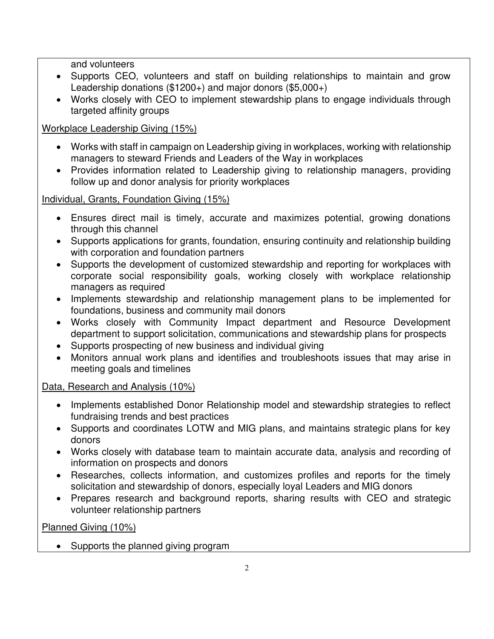and volunteers

- Supports CEO, volunteers and staff on building relationships to maintain and grow Leadership donations (\$1200+) and major donors (\$5,000+)
- Works closely with CEO to implement stewardship plans to engage individuals through targeted affinity groups

### Workplace Leadership Giving (15%)

- Works with staff in campaign on Leadership giving in workplaces, working with relationship managers to steward Friends and Leaders of the Way in workplaces
- Provides information related to Leadership giving to relationship managers, providing follow up and donor analysis for priority workplaces

#### Individual, Grants, Foundation Giving (15%)

- Ensures direct mail is timely, accurate and maximizes potential, growing donations through this channel
- Supports applications for grants, foundation, ensuring continuity and relationship building with corporation and foundation partners
- Supports the development of customized stewardship and reporting for workplaces with corporate social responsibility goals, working closely with workplace relationship managers as required
- Implements stewardship and relationship management plans to be implemented for foundations, business and community mail donors
- Works closely with Community Impact department and Resource Development department to support solicitation, communications and stewardship plans for prospects
- Supports prospecting of new business and individual giving
- Monitors annual work plans and identifies and troubleshoots issues that may arise in meeting goals and timelines

#### Data, Research and Analysis (10%)

- Implements established Donor Relationship model and stewardship strategies to reflect fundraising trends and best practices
- Supports and coordinates LOTW and MIG plans, and maintains strategic plans for key donors
- Works closely with database team to maintain accurate data, analysis and recording of information on prospects and donors
- Researches, collects information, and customizes profiles and reports for the timely solicitation and stewardship of donors, especially loyal Leaders and MIG donors
- Prepares research and background reports, sharing results with CEO and strategic volunteer relationship partners

Planned Giving (10%)

• Supports the planned giving program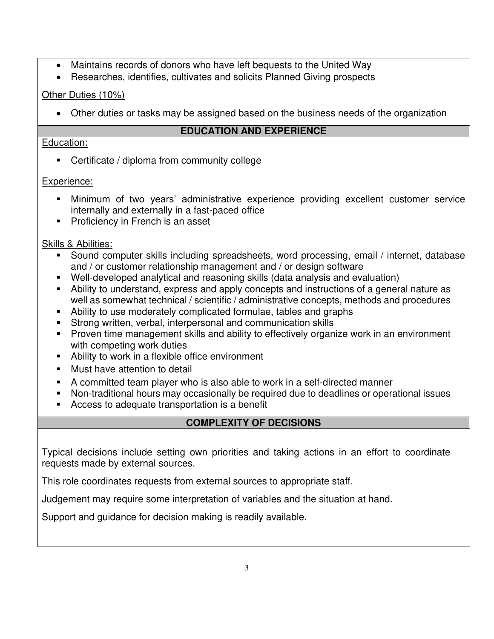- Maintains records of donors who have left bequests to the United Way
- Researches, identifies, cultivates and solicits Planned Giving prospects

## Other Duties (10%)

• Other duties or tasks may be assigned based on the business needs of the organization

### **EDUCATION AND EXPERIENCE**

### Education:

■ Certificate / diploma from community college

# Experience:

- Minimum of two years' administrative experience providing excellent customer service internally and externally in a fast-paced office
- **•** Proficiency in French is an asset

## Skills & Abilities:

- Sound computer skills including spreadsheets, word processing, email / internet, database and / or customer relationship management and / or design software
- Well-developed analytical and reasoning skills (data analysis and evaluation)
- Ability to understand, express and apply concepts and instructions of a general nature as well as somewhat technical / scientific / administrative concepts, methods and procedures
- Ability to use moderately complicated formulae, tables and graphs
- **EXTERN** Strong written, verbal, interpersonal and communication skills
- Proven time management skills and ability to effectively organize work in an environment with competing work duties
- Ability to work in a flexible office environment
- Must have attention to detail
- A committed team player who is also able to work in a self-directed manner
- Non-traditional hours may occasionally be required due to deadlines or operational issues
- Access to adequate transportation is a benefit

# **COMPLEXITY OF DECISIONS**

Typical decisions include setting own priorities and taking actions in an effort to coordinate requests made by external sources.

This role coordinates requests from external sources to appropriate staff.

Judgement may require some interpretation of variables and the situation at hand.

Support and guidance for decision making is readily available.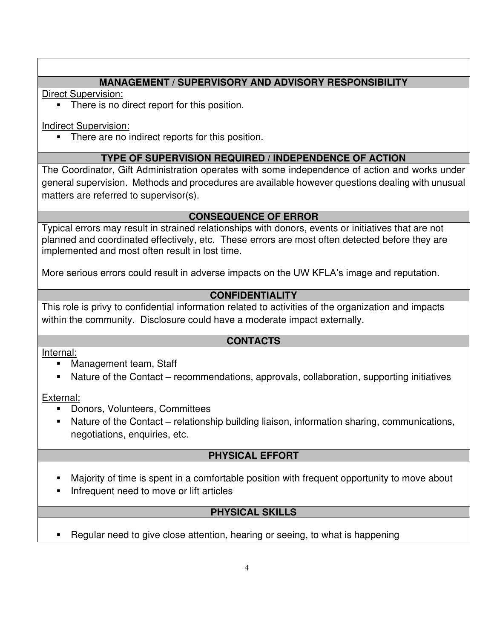### **MANAGEMENT / SUPERVISORY AND ADVISORY RESPONSIBILITY**

Direct Supervision:

**•** There is no direct report for this position.

Indirect Supervision:

**•** There are no indirect reports for this position.

### **TYPE OF SUPERVISION REQUIRED / INDEPENDENCE OF ACTION**

The Coordinator, Gift Administration operates with some independence of action and works under general supervision. Methods and procedures are available however questions dealing with unusual matters are referred to supervisor(s).

## **CONSEQUENCE OF ERROR**

Typical errors may result in strained relationships with donors, events or initiatives that are not planned and coordinated effectively, etc. These errors are most often detected before they are implemented and most often result in lost time.

More serious errors could result in adverse impacts on the UW KFLA's image and reputation.

## **CONFIDENTIALITY**

This role is privy to confidential information related to activities of the organization and impacts within the community. Disclosure could have a moderate impact externally.

### **CONTACTS**

Internal:

- Management team, Staff
- Nature of the Contact recommendations, approvals, collaboration, supporting initiatives

External:

- Donors, Volunteers, Committees
- Nature of the Contact relationship building liaison, information sharing, communications, negotiations, enquiries, etc.

# **PHYSICAL EFFORT**

- Majority of time is spent in a comfortable position with frequent opportunity to move about
- Infrequent need to move or lift articles

# **PHYSICAL SKILLS**

■ Regular need to give close attention, hearing or seeing, to what is happening